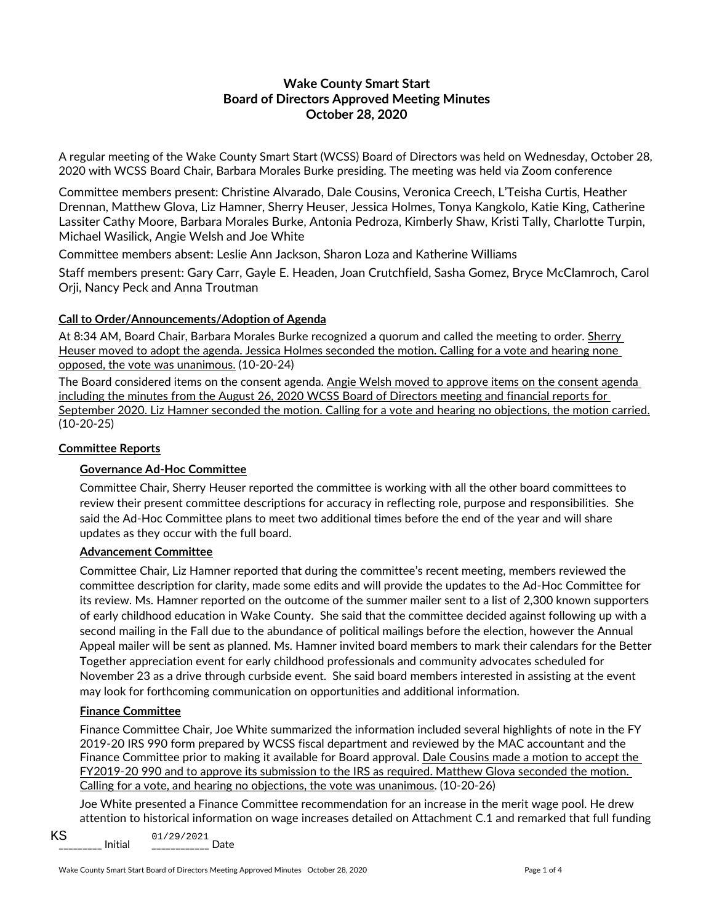# **Wake County Smart Start Board of Directors Approved Meeting Minutes October 28, 2020**

A regular meeting of the Wake County Smart Start (WCSS) Board of Directors was held on Wednesday, October 28, 2020 with WCSS Board Chair, Barbara Morales Burke presiding. The meeting was held via Zoom conference

Committee members present: Christine Alvarado, Dale Cousins, Veronica Creech, L'Teisha Curtis, Heather Drennan, Matthew Glova, Liz Hamner, Sherry Heuser, Jessica Holmes, Tonya Kangkolo, Katie King, Catherine Lassiter Cathy Moore, Barbara Morales Burke, Antonia Pedroza, Kimberly Shaw, Kristi Tally, Charlotte Turpin, Michael Wasilick, Angie Welsh and Joe White

Committee members absent: Leslie Ann Jackson, Sharon Loza and Katherine Williams

Staff members present: Gary Carr, Gayle E. Headen, Joan Crutchfield, Sasha Gomez, Bryce McClamroch, Carol Orji, Nancy Peck and Anna Troutman

### **Call to Order/Announcements/Adoption of Agenda**

At 8:34 AM, Board Chair, Barbara Morales Burke recognized a quorum and called the meeting to order. Sherry Heuser moved to adopt the agenda. Jessica Holmes seconded the motion. Calling for a vote and hearing none opposed, the vote was unanimous. (10-20-24)

The Board considered items on the consent agenda. Angie Welsh moved to approve items on the consent agenda including the minutes from the August 26, 2020 WCSS Board of Directors meeting and financial reports for September 2020. Liz Hamner seconded the motion. Calling for a vote and hearing no objections, the motion carried. (10-20-25)

## **Committee Reports**

### **Governance Ad-Hoc Committee**

Committee Chair, Sherry Heuser reported the committee is working with all the other board committees to review their present committee descriptions for accuracy in reflecting role, purpose and responsibilities. She said the Ad-Hoc Committee plans to meet two additional times before the end of the year and will share updates as they occur with the full board.

### **Advancement Committee**

Committee Chair, Liz Hamner reported that during the committee's recent meeting, members reviewed the committee description for clarity, made some edits and will provide the updates to the Ad-Hoc Committee for its review. Ms. Hamner reported on the outcome of the summer mailer sent to a list of 2,300 known supporters of early childhood education in Wake County. She said that the committee decided against following up with a second mailing in the Fall due to the abundance of political mailings before the election, however the Annual Appeal mailer will be sent as planned. Ms. Hamner invited board members to mark their calendars for the Better Together appreciation event for early childhood professionals and community advocates scheduled for November 23 as a drive through curbside event. She said board members interested in assisting at the event may look for forthcoming communication on opportunities and additional information.

### **Finance Committee**

Finance Committee Chair, Joe White summarized the information included several highlights of note in the FY 2019-20 IRS 990 form prepared by WCSS fiscal department and reviewed by the MAC accountant and the Finance Committee prior to making it available for Board approval. Dale Cousins made a motion to accept the FY2019-20 990 and to approve its submission to the IRS as required. Matthew Glova seconded the motion. Calling for a vote, and hearing no objections, the vote was unanimous. (10-20-26)

Joe White presented a Finance Committee recommendation for an increase in the merit wage pool. He drew attention to historical information on wage increases detailed on Attachment C.1 and remarked that full funding

 $KS$  Initial  $01/29/2021$  Date KS 01/29/2021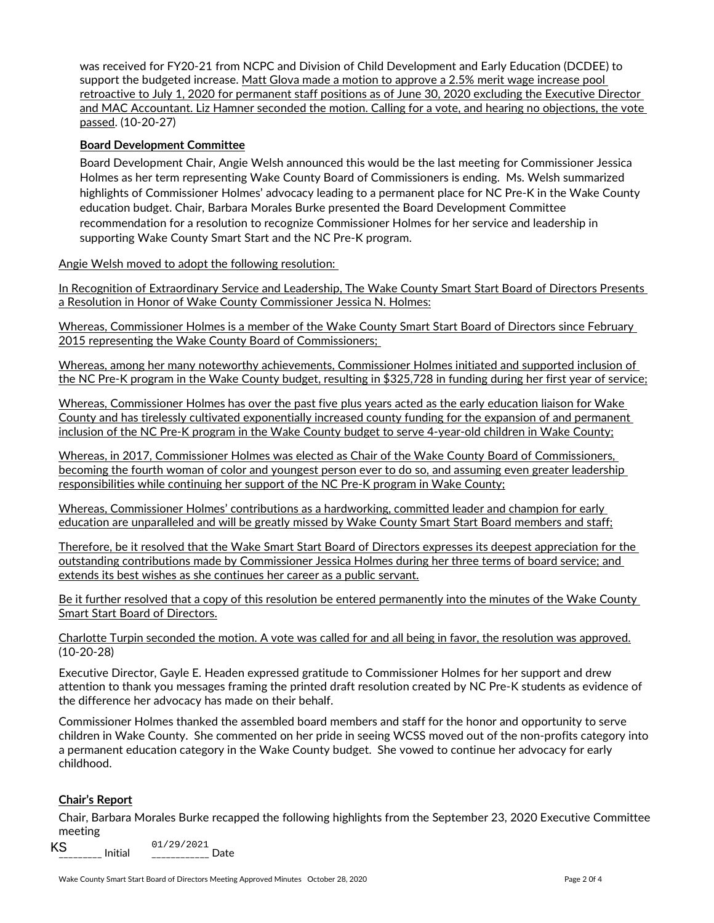was received for FY20-21 from NCPC and Division of Child Development and Early Education (DCDEE) to support the budgeted increase. Matt Glova made a motion to approve a 2.5% merit wage increase pool retroactive to July 1, 2020 for permanent staff positions as of June 30, 2020 excluding the Executive Director and MAC Accountant. Liz Hamner seconded the motion. Calling for a vote, and hearing no objections, the vote passed. (10-20-27)

### **Board Development Committee**

Board Development Chair, Angie Welsh announced this would be the last meeting for Commissioner Jessica Holmes as her term representing Wake County Board of Commissioners is ending. Ms. Welsh summarized highlights of Commissioner Holmes' advocacy leading to a permanent place for NC Pre-K in the Wake County education budget. Chair, Barbara Morales Burke presented the Board Development Committee recommendation for a resolution to recognize Commissioner Holmes for her service and leadership in supporting Wake County Smart Start and the NC Pre-K program.

Angie Welsh moved to adopt the following resolution:

In Recognition of Extraordinary Service and Leadership, The Wake County Smart Start Board of Directors Presents a Resolution in Honor of Wake County Commissioner Jessica N. Holmes:

Whereas, Commissioner Holmes is a member of the Wake County Smart Start Board of Directors since February 2015 representing the Wake County Board of Commissioners;

Whereas, among her many noteworthy achievements, Commissioner Holmes initiated and supported inclusion of the NC Pre-K program in the Wake County budget, resulting in \$325,728 in funding during her first year of service;

Whereas, Commissioner Holmes has over the past five plus years acted as the early education liaison for Wake County and has tirelessly cultivated exponentially increased county funding for the expansion of and permanent inclusion of the NC Pre-K program in the Wake County budget to serve 4-year-old children in Wake County;

Whereas, in 2017, Commissioner Holmes was elected as Chair of the Wake County Board of Commissioners, becoming the fourth woman of color and youngest person ever to do so, and assuming even greater leadership responsibilities while continuing her support of the NC Pre-K program in Wake County;

Whereas, Commissioner Holmes' contributions as a hardworking, committed leader and champion for early education are unparalleled and will be greatly missed by Wake County Smart Start Board members and staff;

Therefore, be it resolved that the Wake Smart Start Board of Directors expresses its deepest appreciation for the outstanding contributions made by Commissioner Jessica Holmes during her three terms of board service; and extends its best wishes as she continues her career as a public servant.

Be it further resolved that a copy of this resolution be entered permanently into the minutes of the Wake County Smart Start Board of Directors.

Charlotte Turpin seconded the motion. A vote was called for and all being in favor, the resolution was approved. (10-20-28)

Executive Director, Gayle E. Headen expressed gratitude to Commissioner Holmes for her support and drew attention to thank you messages framing the printed draft resolution created by NC Pre-K students as evidence of the difference her advocacy has made on their behalf.

Commissioner Holmes thanked the assembled board members and staff for the honor and opportunity to serve children in Wake County. She commented on her pride in seeing WCSS moved out of the non-profits category into a permanent education category in the Wake County budget. She vowed to continue her advocacy for early childhood.

### **Chair's Report**

Chair, Barbara Morales Burke recapped the following highlights from the September 23, 2020 Executive Committee meeting

\_\_\_\_\_\_\_\_\_ Initial \_\_\_\_\_\_\_\_\_\_\_\_ Date KS 01/29/2021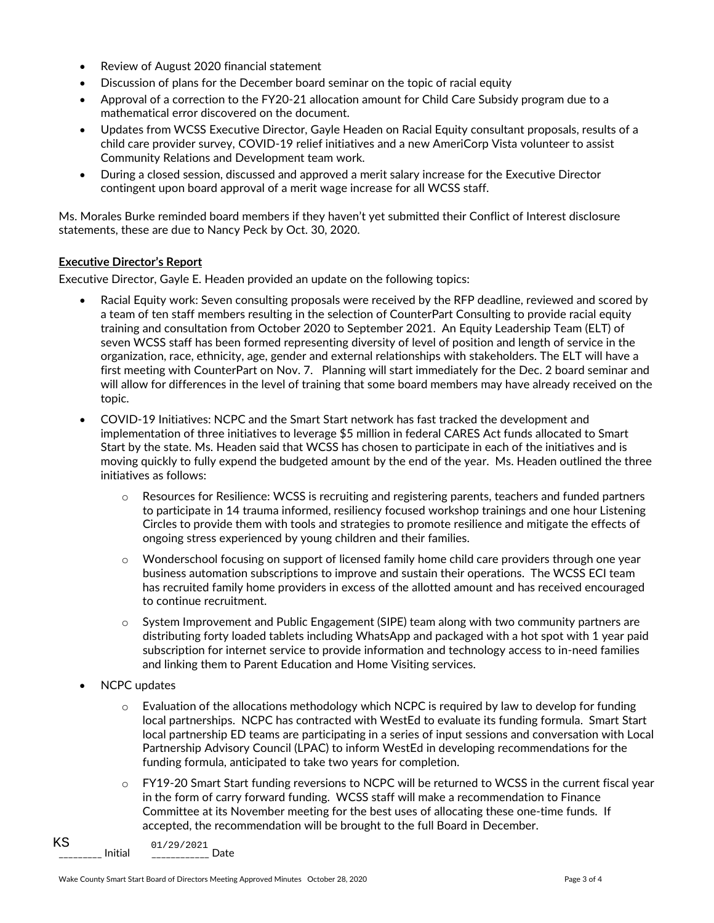- Review of August 2020 financial statement
- Discussion of plans for the December board seminar on the topic of racial equity
- Approval of a correction to the FY20-21 allocation amount for Child Care Subsidy program due to a mathematical error discovered on the document.
- Updates from WCSS Executive Director, Gayle Headen on Racial Equity consultant proposals, results of a child care provider survey, COVID-19 relief initiatives and a new AmeriCorp Vista volunteer to assist Community Relations and Development team work.
- During a closed session, discussed and approved a merit salary increase for the Executive Director contingent upon board approval of a merit wage increase for all WCSS staff.

Ms. Morales Burke reminded board members if they haven't yet submitted their Conflict of Interest disclosure statements, these are due to Nancy Peck by Oct. 30, 2020.

#### **Executive Director's Report**

Executive Director, Gayle E. Headen provided an update on the following topics:

- Racial Equity work: Seven consulting proposals were received by the RFP deadline, reviewed and scored by a team of ten staff members resulting in the selection of CounterPart Consulting to provide racial equity training and consultation from October 2020 to September 2021. An Equity Leadership Team (ELT) of seven WCSS staff has been formed representing diversity of level of position and length of service in the organization, race, ethnicity, age, gender and external relationships with stakeholders. The ELT will have a first meeting with CounterPart on Nov. 7. Planning will start immediately for the Dec. 2 board seminar and will allow for differences in the level of training that some board members may have already received on the topic.
- COVID-19 Initiatives: NCPC and the Smart Start network has fast tracked the development and implementation of three initiatives to leverage \$5 million in federal CARES Act funds allocated to Smart Start by the state. Ms. Headen said that WCSS has chosen to participate in each of the initiatives and is moving quickly to fully expend the budgeted amount by the end of the year. Ms. Headen outlined the three initiatives as follows:
	- $\circ$  Resources for Resilience: WCSS is recruiting and registering parents, teachers and funded partners to participate in 14 trauma informed, resiliency focused workshop trainings and one hour Listening Circles to provide them with tools and strategies to promote resilience and mitigate the effects of ongoing stress experienced by young children and their families.
	- o Wonderschool focusing on support of licensed family home child care providers through one year business automation subscriptions to improve and sustain their operations. The WCSS ECI team has recruited family home providers in excess of the allotted amount and has received encouraged to continue recruitment.
	- $\circ$  System Improvement and Public Engagement (SIPE) team along with two community partners are distributing forty loaded tablets including WhatsApp and packaged with a hot spot with 1 year paid subscription for internet service to provide information and technology access to in-need families and linking them to Parent Education and Home Visiting services.
- NCPC updates
	- Evaluation of the allocations methodology which NCPC is required by law to develop for funding local partnerships. NCPC has contracted with WestEd to evaluate its funding formula. Smart Start local partnership ED teams are participating in a series of input sessions and conversation with Local Partnership Advisory Council (LPAC) to inform WestEd in developing recommendations for the funding formula, anticipated to take two years for completion.
	- $\circ$  FY19-20 Smart Start funding reversions to NCPC will be returned to WCSS in the current fiscal year in the form of carry forward funding. WCSS staff will make a recommendation to Finance Committee at its November meeting for the best uses of allocating these one-time funds. If accepted, the recommendation will be brought to the full Board in December.